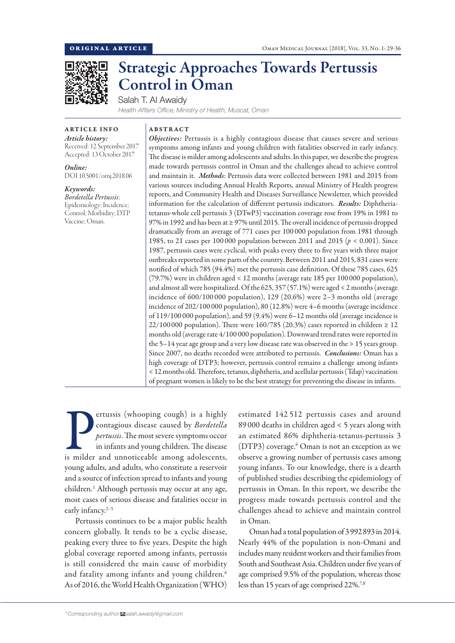

# Strategic Approaches Towards Pertussis Control in Oman

Salah T. Al Awaidy

*Health Affairs Office, Ministry of Health, Muscat, Oman*

#### ARTICLE INFO *Article history:*

Received: 12 September 2017 Accepted: 13 October 2017

*Online:* DOI 10.5001/omj.2018.06

*Keywords: Bordetella Pertussis*; Epidemiology; Incidence; Control; Morbidity; DTP Vaccine; Oman.

## ABSTRACT

*Objectives:* Pertussis is a highly contagious disease that causes severe and serious symptoms among infants and young children with fatalities observed in early infancy. The disease is milder among adolescents and adults. In this paper, we describe the progress made towards pertussis control in Oman and the challenges ahead to achieve control and maintain it. *Methods*: Pertussis data were collected between 1981 and 2015 from various sources including Annual Health Reports, annual Ministry of Health progress reports, and Community Health and Diseases Surveillance Newsletter, which provided information for the calculation of different pertussis indicators. *Results:* Diphtheriatetanus-whole cell pertussis 3 (DTwP3) vaccination coverage rose from 19% in 1981 to 97% in 1992 and has been at ≥ 97% until 2015. The overall incidence of pertussis dropped dramatically from an average of 771 cases per 100 000 population from 1981 through 1985, to 21 cases per 100 000 population between 2011 and 2015 (*p* < 0.001). Since 1987, pertussis cases were cyclical, with peaks every three to five years with three major outbreaks reported in some parts of the country. Between 2011 and 2015, 831 cases were notified of which 785 (94.4%) met the pertussis case definition. Of these 785 cases, 625 (79.7%) were in children aged < 12 months (average rate 185 per 100 000 population), and almost all were hospitalized. Of the 625, 357 (57.1%) were aged < 2 months (average incidence of 600/100 000 population), 129 (20.6%) were 2–3 months old (average incidence of 202/100 000 population), 80 (12.8%) were 4–6 months (average incidence of 119/100 000 population), and 59 (9.4%) were 6–12 months old (average incidence is 22/100 000 population). There were 160/785 (20.3%) cases reported in children  $\geq 12$ months old (average rate 4/100 000 population). Downward trend rates were reported in the 5–14 year age group and a very low disease rate was observed in the > 15 years group. Since 2007, no deaths recorded were attributed to pertussis. *Conclusions:* Oman has a high coverage of DTP3; however, pertussis control remains a challenge among infants < 12 months old. Therefore, tetanus, diphtheria, and acellular pertussis (Tdap) vaccination of pregnant women is likely to be the best strategy for preventing the disease in infants.

**Expanding Company** (whooping cough) is a highly contagious disease caused by *Bordetella* pertussis. The most severe symptoms occur in infants and young children. The disease is milder and unnoticeable among adolescents, ertussis (whooping cough) is a highly contagious disease caused by *Bordetella pertussis*. The most severe symptoms occur in infants and young children. The disease young adults, and adults, who constitute a reservoir and a source of infection spread to infants and young children.1 Although pertussis may occur at any age, most cases of serious disease and fatalities occur in early infancy.<sup>2-5</sup>

Pertussis continues to be a major public health concern globally. It tends to be a cyclic disease, peaking every three to five years. Despite the high global coverage reported among infants, pertussis is still considered the main cause of morbidity and fatality among infants and young children.<sup>6</sup> As of 2016, the World Health Organization (WHO) estimated 142 512 pertussis cases and around 89 000 deaths in children aged < 5 years along with an estimated 86% diphtheria-tetanus-pertussis 3 (DTP3) coverage.<sup>6</sup> Oman is not an exception as we observe a growing number of pertussis cases among young infants. To our knowledge, there is a dearth of published studies describing the epidemiology of pertussis in Oman. In this report, we describe the progress made towards pertussis control and the challenges ahead to achieve and maintain control in Oman.

Oman had a total population of 3992893 in 2014. Nearly 44% of the population is non-Omani and includes many resident workers and their families from South and Southeast Asia. Children under five years of age comprised 9.5% of the population, whereas those less than 15 years of age comprised 22%.7,8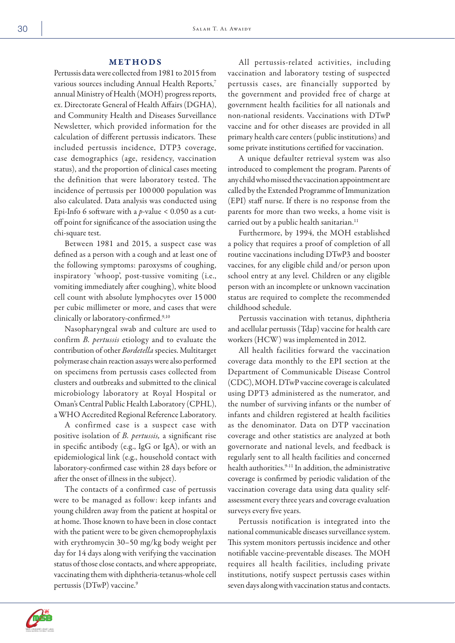## METHODS

Pertussis data were collected from 1981 to 2015 from various sources including Annual Health Reports,7 annual Ministry of Health (MOH) progress reports, ex. Directorate General of Health Affairs (DGHA), and Community Health and Diseases Surveillance Newsletter, which provided information for the calculation of different pertussis indicators. These included pertussis incidence, DTP3 coverage, case demographics (age, residency, vaccination status), and the proportion of clinical cases meeting the definition that were laboratory tested. The incidence of pertussis per 100 000 population was also calculated. Data analysis was conducted using Epi-Info 6 software with a *p*-value < 0.050 as a cutoff point for significance of the association using the chi-square test.

Between 1981 and 2015, a suspect case was defined as a person with a cough and at least one of the following symptoms: paroxysms of coughing, inspiratory 'whoop', post-tussive vomiting (i.e., vomiting immediately after coughing), white blood cell count with absolute lymphocytes over 15 000 per cubic millimeter or more, and cases that were clinically or laboratory-confirmed.<sup>9,10</sup>

Nasopharyngeal swab and culture are used to confirm *B. pertussis* etiology and to evaluate the contribution of other *Bordetella* species. Multitarget polymerase chain reaction assays were also performed on specimens from pertussis cases collected from clusters and outbreaks and submitted to the clinical microbiology laboratory at Royal Hospital or Oman's Central Public Health Laboratory (CPHL), a WHO Accredited Regional Reference Laboratory.

A confirmed case is a suspect case with positive isolation of *B. pertussis,* a significant rise in specific antibody (e.g., IgG or IgA), or with an epidemiological link (e.g., household contact with laboratory-confirmed case within 28 days before or after the onset of illness in the subject).

The contacts of a confirmed case of pertussis were to be managed as follow: keep infants and young children away from the patient at hospital or at home. Those known to have been in close contact with the patient were to be given chemoprophylaxis with erythromycin 30–50 mg/kg body weight per day for 14 days along with verifying the vaccination status of those close contacts, and where appropriate, vaccinating them with diphtheria-tetanus-whole cell pertussis (DTwP) vaccine.9

All pertussis-related activities, including vaccination and laboratory testing of suspected pertussis cases, are financially supported by the government and provided free of charge at government health facilities for all nationals and non-national residents. Vaccinations with DTwP vaccine and for other diseases are provided in all primary health care centers (public institutions) and some private institutions certified for vaccination.

A unique defaulter retrieval system was also introduced to complement the program. Parents of any child who missed the vaccination appointment are called by the Extended Programme of Immunization (EPI) staff nurse. If there is no response from the parents for more than two weeks, a home visit is carried out by a public health sanitarian.<sup>11</sup>

Furthermore, by 1994, the MOH established a policy that requires a proof of completion of all routine vaccinations including DTwP3 and booster vaccines, for any eligible child and/or person upon school entry at any level. Children or any eligible person with an incomplete or unknown vaccination status are required to complete the recommended childhood schedule.

Pertussis vaccination with tetanus, diphtheria and acellular pertussis (Tdap) vaccine for health care workers (HCW) was implemented in 2012.

All health facilities forward the vaccination coverage data monthly to the EPI section at the Department of Communicable Disease Control (CDC), MOH. DTwP vaccine coverage is calculated using DPT3 administered as the numerator, and the number of surviving infants or the number of infants and children registered at health facilities as the denominator. Data on DTP vaccination coverage and other statistics are analyzed at both governorate and national levels, and feedback is regularly sent to all health facilities and concerned health authorities.<sup>9-11</sup> In addition, the administrative coverage is confirmed by periodic validation of the vaccination coverage data using data quality selfassessment every three years and coverage evaluation surveys every five years.

Pertussis notification is integrated into the national communicable diseases surveillance system. This system monitors pertussis incidence and other notifiable vaccine-preventable diseases. The MOH requires all health facilities, including private institutions, notify suspect pertussis cases within seven days along with vaccination status and contacts.

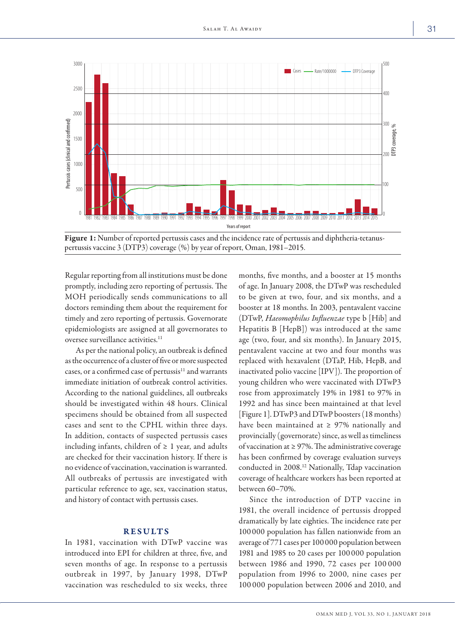

Figure 1: Number of reported pertussis cases and the incidence rate of pertussis and diphtheria-tetanuspertussis vaccine 3 (DTP3) coverage (%) by year of report, Oman, 1981–2015.

Regular reporting from all institutions must be done promptly, including zero reporting of pertussis. The MOH periodically sends communications to all doctors reminding them about the requirement for timely and zero reporting of pertussis. Governorate epidemiologists are assigned at all governorates to oversee surveillance activities.<sup>11</sup>

As per the national policy, an outbreak is defined as the occurrence of a cluster of five or more suspected cases, or a confirmed case of pertussis<sup>11</sup> and warrants immediate initiation of outbreak control activities. According to the national guidelines, all outbreaks should be investigated within 48 hours. Clinical specimens should be obtained from all suspected cases and sent to the CPHL within three days. In addition, contacts of suspected pertussis cases including infants, children of  $\geq 1$  year, and adults are checked for their vaccination history. If there is no evidence of vaccination, vaccination is warranted. All outbreaks of pertussis are investigated with particular reference to age, sex, vaccination status, and history of contact with pertussis cases.

#### RESULTS

In 1981, vaccination with DTwP vaccine was introduced into EPI for children at three, five, and seven months of age. In response to a pertussis outbreak in 1997, by January 1998, DTwP vaccination was rescheduled to six weeks, three

months, five months, and a booster at 15 months of age. In January 2008, the DTwP was rescheduled to be given at two, four, and six months, and a booster at 18 months. In 2003, pentavalent vaccine (DTwP, *Haeomophilus Influenzae* type b [Hib] and Hepatitis B [HepB]) was introduced at the same age (two, four, and six months). In January 2015, pentavalent vaccine at two and four months was replaced with hexavalent (DTaP, Hib, HepB, and inactivated polio vaccine [IPV]). The proportion of young children who were vaccinated with DTwP3 rose from approximately 19% in 1981 to 97% in 1992 and has since been maintained at that level [Figure 1]. DTwP3 and DTwP boosters (18 months) have been maintained at  $\geq$  97% nationally and provincially (governorate) since, as well as timeliness of vaccination at ≥ 97%. The administrative coverage has been confirmed by coverage evaluation surveys conducted in 2008.12 Nationally, Tdap vaccination coverage of healthcare workers has been reported at between 60–70%.

Since the introduction of DTP vaccine in 1981, the overall incidence of pertussis dropped dramatically by late eighties. The incidence rate per 100 000 population has fallen nationwide from an average of 771 cases per 100000 population between 1981 and 1985 to 20 cases per 100 000 population between 1986 and 1990, 72 cases per 100 000 population from 1996 to 2000, nine cases per 100 000 population between 2006 and 2010, and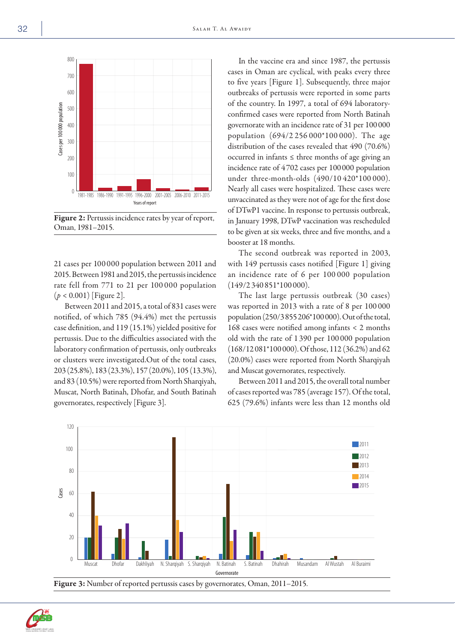

Figure 2: Pertussis incidence rates by year of report, Oman, 1981–2015.

21 cases per 100 000 population between 2011 and 2015. Between 1981 and 2015, the pertussis incidence rate fell from 771 to 21 per 100 000 population (*p* < 0.001) [Figure 2].

Between 2011 and 2015, a total of 831 cases were notified, of which 785 (94.4%) met the pertussis case definition, and 119 (15.1%) yielded positive for pertussis. Due to the difficulties associated with the laboratory confirmation of pertussis, only outbreaks or clusters were investigated.Out of the total cases, 203 (25.8%), 183 (23.3%), 157 (20.0%), 105 (13.3%), and 83 (10.5%) were reported from North Sharqiyah, Muscat, North Batinah, Dhofar, and South Batinah governorates, respectively [Figure 3].

In the vaccine era and since 1987, the pertussis cases in Oman are cyclical, with peaks every three to five years [Figure 1]. Subsequently, three major outbreaks of pertussis were reported in some parts of the country. In 1997, a total of 694 laboratoryconfirmed cases were reported from North Batinah governorate with an incidence rate of 31 per 100000 population (694/2 256 000\*100 000). The age distribution of the cases revealed that 490 (70.6%) occurred in infants ≤ three months of age giving an incidence rate of 4702 cases per 100000 population under three-month-olds (490/10 420\*100 000). Nearly all cases were hospitalized. These cases were unvaccinated as they were not of age for the first dose of DTwP1 vaccine. In response to pertussis outbreak, in January 1998, DTwP vaccination was rescheduled to be given at six weeks, three and five months, and a booster at 18 months.

The second outbreak was reported in 2003, with 149 pertussis cases notified [Figure 1] giving an incidence rate of 6 per 100 000 population (149/2 340 851\*100 000).

The last large pertussis outbreak (30 cases) was reported in 2013 with a rate of 8 per 100 000 population (250/3855206\*100000). Out of the total, 168 cases were notified among infants < 2 months old with the rate of 1 390 per 100 000 population (168/12081\*100000). Of those, 112 (36.2%) and 62 (20.0%) cases were reported from North Sharqiyah and Muscat governorates, respectively.

Between 2011 and 2015, the overall total number of cases reported was 785 (average 157). Of the total, 625 (79.6%) infants were less than 12 months old



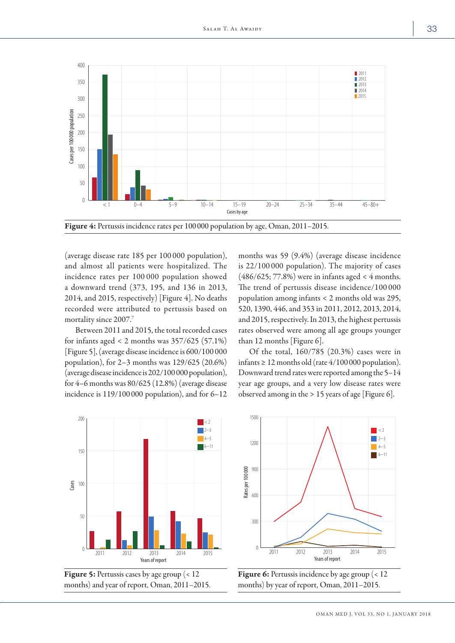

(average disease rate 185 per 100 000 population), and almost all patients were hospitalized. The incidence rates per 100 000 population showed a downward trend (373, 195, and 136 in 2013, 2014, and 2015, respectively) [Figure 4]. No deaths recorded were attributed to pertussis based on mortality since 2007.7

Between 2011 and 2015, the total recorded cases for infants aged  $< 2$  months was  $357/625$  (57.1%) [Figure 5], (average disease incidence is 600/100 000 population), for 2–3 months was 129/625 (20.6%) (average disease incidence is 202/100000 population), for 4–6 months was 80/625 (12.8%) (average disease incidence is 119/100000 population), and for 6–12 months was 59 (9.4%) (average disease incidence is 22/100 000 population). The majority of cases (486/625; 77.8%) were in infants aged < 4 months. The trend of pertussis disease incidence/100 000 population among infants < 2 months old was 295, 520, 1390, 446, and 353 in 2011, 2012, 2013, 2014, and 2015, respectively. In 2013, the highest pertussis rates observed were among all age groups younger than 12 months [Figure 6].

Of the total, 160/785 (20.3%) cases were in infants  $\geq 12$  months old (rate 4/100 000 population). Downward trend rates were reported among the 5–14 year age groups, and a very low disease rates were observed among in the > 15 years of age [Figure 6].



Figure 5: Pertussis cases by age group (< 12 months) and year of report, Oman, 2011–2015.



Figure 6: Pertussis incidence by age group (< 12 months) by year of report, Oman, 2011–2015.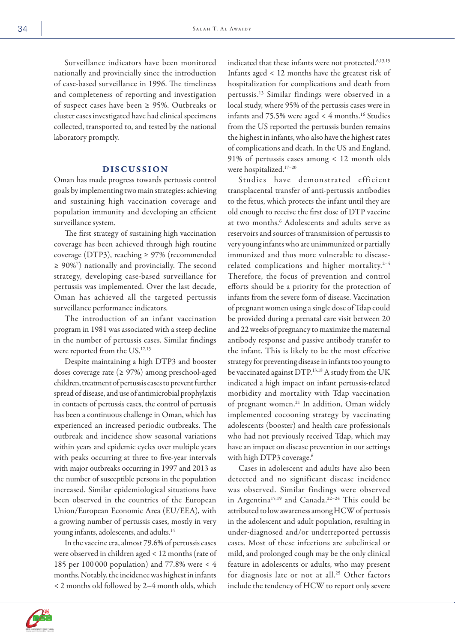Surveillance indicators have been monitored nationally and provincially since the introduction of case-based surveillance in 1996. The timeliness and completeness of reporting and investigation of suspect cases have been ≥ 95%. Outbreaks or cluster cases investigated have had clinical specimens collected, transported to, and tested by the national laboratory promptly.

### DISCUSSION

Oman has made progress towards pertussis control goals by implementing two main strategies: achieving and sustaining high vaccination coverage and population immunity and developing an efficient surveillance system.

The first strategy of sustaining high vaccination coverage has been achieved through high routine coverage (DTP3), reaching ≥ 97% (recommended ≥ 90%7 ) nationally and provincially. The second strategy, developing case-based surveillance for pertussis was implemented. Over the last decade, Oman has achieved all the targeted pertussis surveillance performance indicators.

The introduction of an infant vaccination program in 1981 was associated with a steep decline in the number of pertussis cases. Similar findings were reported from the US.<sup>12,13</sup>

Despite maintaining a high DTP3 and booster doses coverage rate (≥ 97%) among preschool-aged children, treatment of pertussis cases to prevent further spread of disease, and use of antimicrobial prophylaxis in contacts of pertussis cases, the control of pertussis has been a continuous challenge in Oman, which has experienced an increased periodic outbreaks. The outbreak and incidence show seasonal variations within years and epidemic cycles over multiple years with peaks occurring at three to five-year intervals with major outbreaks occurring in 1997 and 2013 as the number of susceptible persons in the population increased. Similar epidemiological situations have been observed in the countries of the European Union/European Economic Area (EU/EEA), with a growing number of pertussis cases, mostly in very young infants, adolescents, and adults.14

In the vaccine era, almost 79.6% of pertussis cases were observed in children aged < 12 months (rate of 185 per 100 000 population) and 77.8% were < 4 months. Notably, the incidence was highest in infants < 2 months old followed by 2–4 month olds, which

indicated that these infants were not protected.<sup>6,13,15</sup> Infants aged < 12 months have the greatest risk of hospitalization for complications and death from pertussis.13 Similar findings were observed in a local study, where 95% of the pertussis cases were in infants and  $75.5\%$  were aged < 4 months.<sup>16</sup> Studies from the US reported the pertussis burden remains the highest in infants, who also have the highest rates of complications and death. In the US and England, 91% of pertussis cases among < 12 month olds were hospitalized.17–20

Studies have demonstrated efficient transplacental transfer of anti-pertussis antibodies to the fetus, which protects the infant until they are old enough to receive the first dose of DTP vaccine at two months.6 Adolescents and adults serve as reservoirs and sources of transmission of pertussis to very young infants who are unimmunized or partially immunized and thus more vulnerable to diseaserelated complications and higher mortality.<sup>2-4</sup> Therefore, the focus of prevention and control efforts should be a priority for the protection of infants from the severe form of disease. Vaccination of pregnant women using a single dose of Tdap could be provided during a prenatal care visit between 20 and 22 weeks of pregnancy to maximize the maternal antibody response and passive antibody transfer to the infant. This is likely to be the most effective strategy for preventing disease in infants too young to be vaccinated against DTP.<sup>13,18</sup> A study from the UK indicated a high impact on infant pertussis-related morbidity and mortality with Tdap vaccination of pregnant women.<sup>21</sup> In addition, Oman widely implemented cocooning strategy by vaccinating adolescents (booster) and health care professionals who had not previously received Tdap, which may have an impact on disease prevention in our settings with high DTP3 coverage.<sup>6</sup>

Cases in adolescent and adults have also been detected and no significant disease incidence was observed. Similar findings were observed in Argentina<sup>15,19</sup> and Canada.<sup>22-24</sup> This could be attributed to low awareness among HCW of pertussis in the adolescent and adult population, resulting in under-diagnosed and/or underreported pertussis cases. Most of these infections are subclinical or mild, and prolonged cough may be the only clinical feature in adolescents or adults, who may present for diagnosis late or not at all.<sup>25</sup> Other factors include the tendency of HCW to report only severe

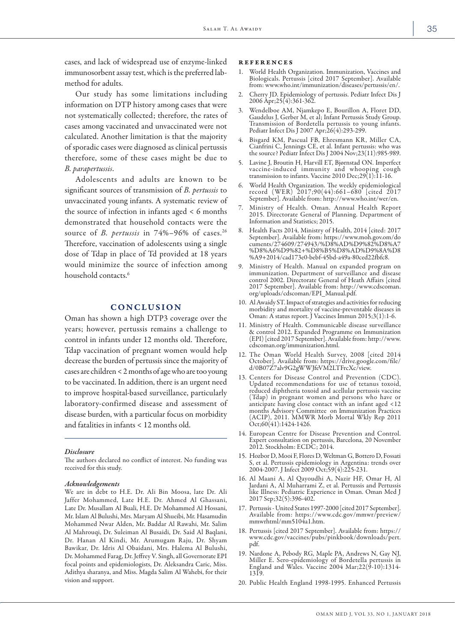Our study has some limitations including information on DTP history among cases that were not systematically collected; therefore, the rates of cases among vaccinated and unvaccinated were not calculated. Another limitation is that the majority of sporadic cases were diagnosed as clinical pertussis therefore, some of these cases might be due to *B. parapertussis*.

Adolescents and adults are known to be significant sources of transmission of *B. pertussis* to unvaccinated young infants. A systematic review of the source of infection in infants aged < 6 months demonstrated that household contacts were the source of *B. pertussis* in 74%–96% of cases.<sup>26</sup> Therefore, vaccination of adolescents using a single dose of Tdap in place of Td provided at 18 years would minimize the source of infection among household contacts.<sup>6</sup>

## **CONCLUSION**

Oman has shown a high DTP3 coverage over the years; however, pertussis remains a challenge to control in infants under 12 months old. Therefore, Tdap vaccination of pregnant women would help decrease the burden of pertussis since the majority of cases are children < 2 months of age who are too young to be vaccinated. In addition, there is an urgent need to improve hospital-based surveillance, particularly laboratory-confirmed disease and assessment of disease burden, with a particular focus on morbidity and fatalities in infants < 12 months old.

#### *Disclosure*

The authors declared no conflict of interest. No funding was received for this study.

#### *Acknowledgements*

We are in debt to H.E. Dr. Ali Bin Moosa, late Dr. Ali Jaffer Mohammed, Late H.E. Dr. Ahmed Al Ghassani, Late Dr. Musallam Al Buali, H.E. Dr Mohammed Al Hossani, Mr. Islam Al Bulushi, Mrs. Maryam Al Shueibi, Mr. Hasamudin Mohammed Nwar Alden, Mr. Baddar Al Rawahi, Mr. Salim Al Mahrouqi, Dr. Suleiman Al Busaidi, Dr. Said Al Baqlani, Dr. Hanan Al Kindi, Mr. Arumugam Raju, Dr. Shyam Bawikar, Dr. Idris Al Obaidani, Mrs. Halema Al Bulushi, Dr. Mohammed Farag, Dr. Jeffrey V. Singh, all Governorate EPI focal points and epidemiologists, Dr. Aleksandra Caric, Miss. Adithya sharanya, and Miss. Magda Salim Al Wahebi, for their vision and support.

#### references

- World Health Organization. Immunization, Vaccines and Biologicals. Pertussis [cited 2017 September]. Available from: www.who.int/immunization/diseases/pertussis/en/.
- 2. Cherry JD. Epidemiology of pertussis. Pediatr Infect Dis J 2006 Apr;25(4):361-362.
- 3. Wendelboe AM, Njamkepo E, Bourillon A, Floret DD, Gaudelus J, Gerber M, et al; Infant Pertussis Study Group. Transmission of Bordetella pertussis to young infants. Pediatr Infect Dis J 2007 Apr;26(4):293-299.
- 4. Bisgard KM, Pascual FB, Ehresmann KR, Miller CA, the source? Pediatr Infect Dis J 2004 Nov;23(11):985-989.
- 5. Lavine J, Broutin H, Harvill ET, Bjørnstad ON. Imperfect vaccine-induced immunity and whooping cough transmission to infants. Vaccine 2010 Dec;29(1):11-16.
- 6. World Health Organization. The weekly epidemiological record (WER) 2017;90(44):661–680 [cited 2017 September]. Available from: http://www.who.int/wer/en.
- 7. Ministry of Health. Oman. Annual Health Report 2015. Directorate General of Planning. Department of Information and Statistics; 2015.
- Health Facts 2014, Ministry of Health, 2014 [cited: 2017 September]. Available from: https://www.moh.gov.om/do cuments/274609/274943/%D8%AD%D9%82%D8%A7 %D8%A6%D9%82+%D8%B5%D8%AD%D9%8A%D8 %A9+2014/cad173e0-bebf-45bd-a49a-80ced22fbfc8.
- 9. Ministry of Health. Manual on expanded program on immunization. Department of surveillance and disease control 2002. Directorate General of Heath Affairs [cited 2017 September]. Available from: http://www.cdscoman. org/uploads/cdscoman/EPI\_Manual.pdf.
- 10. Al Awaidy ST. Impact of strategies and activities for reducing morbidity and mortality of vaccine-preventable diseases in Oman: A status report. J Vaccines Immun 2015;3(1):1-6.
- 11. Ministry of Health. Communicable disease surveillance & control 2012. Expanded Programme on Immunization (EPI) [cited 2017 September]. Available from: http://www. cdscoman.org/immunization.html.
- 12. The Oman World Health Survey, 2008 [cited 2014 October]. Available from: https://drive.google.com/file/ d/0B07Z7alv9G2gWWJfeVM2LTFrcXc/view.
- 13. Centers for Disease Control and Prevention (CDC). Updated recommendations for use of tetanus toxoid, reduced diphtheria toxoid and acellular pertussis vaccine (Tdap) in pregnant women and persons who have or anticipate having close contact with an infant aged <12 months Advisory Committee on Immunization Practices (ACIP), 2011. MMWR Morb Mortal Wkly Rep 2011 Oct;60(41):1424-1426.
- 14. European Centre for Disease Prevention and Control. Expert consultation on pertussis, Barcelona, 20 November 2012. Stockholm: ECDC; 2014.
- 15. Hozbor D, Mooi F, Flores D, Weltman G, Bottero D, Fossati S, et al. Pertussis epidemiology in Argentina: trends over 2004-2007. J Infect 2009 Oct;59(4):225-231.
- 16. Al Maani A, Al Qayoudhi A, Nazir HF, Omar H, Al Jardani A, Al Muharrami Z, et al. Pertussis and Pertussis like Illness: Pediatric Experience in Oman. Oman Med J 2017 Sep;32(5):396-402.
- 17. Pertussis United States 1997-2000 [cited 2017 September]. Available from: https://www.cdc.gov/mmwr/preview/ mmwrhtml/mm5104a1.htm.
- 18. Pertussis [cited 2017 September]. Available from: https:// www.cdc.gov/vaccines/pubs/pinkbook/downloads/pert. pdf.
- 19. Nardone A, Pebody RG, Maple PA, Andrews N, Gay NJ, Miller E. Sero-epidemiology of Bordetella pertussis in England and Wales. Vaccine 2004 Mar;22(9-10):1314- 1319.
- 20. Public Health England 1998-1995. Enhanced Pertussis